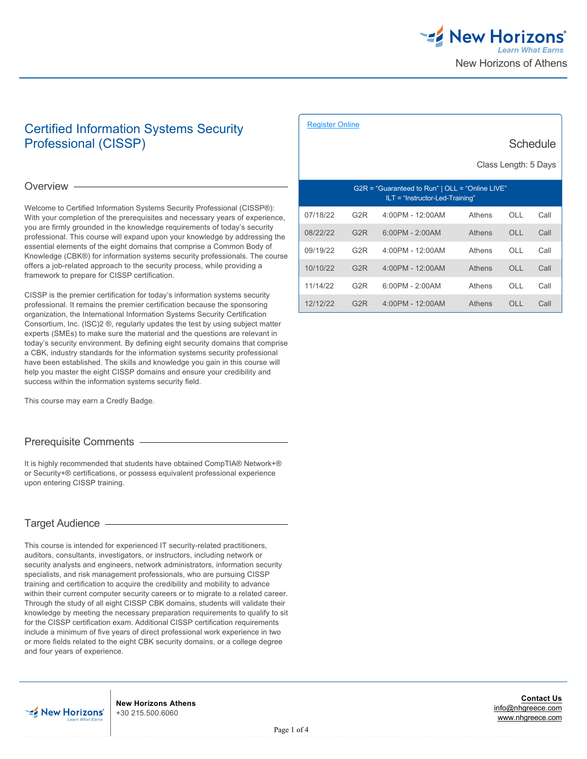

**Schedule** 

# Certified Information Systems Security Professional (CISSP)

Overview -

Welcome to Certified Information Systems Security Professional (CISSP®): With your completion of the prerequisites and necessary years of experience, you are firmly grounded in the knowledge requirements of today's security professional. This course will expand upon your knowledge by addressing the essential elements of the eight domains that comprise a Common Body of Knowledge (CBK®) for information systems security professionals. The course offers a job-related approach to the security process, while providing a framework to prepare for CISSP certification.

CISSP is the premier certification for today's information systems security professional. It remains the premier certification because the sponsoring organization, the International Information Systems Security Certification Consortium, Inc. (ISC)2 ®, regularly updates the test by using subject matter experts (SMEs) to make sure the material and the questions are relevant in today's security environment. By defining eight security domains that comprise a CBK, industry standards for the information systems security professional have been established. The skills and knowledge you gain in this course will help you master the eight CISSP domains and ensure your credibility and success within the information systems security field.

This course may earn a Credly Badge.

# Prerequisite Comments

It is highly recommended that students have obtained CompTIA® Network+® or Security+® certifications, or possess equivalent professional experience upon entering CISSP training.

# Target Audience

This course is intended for experienced IT security-related practitioners, auditors, consultants, investigators, or instructors, including network or security analysts and engineers, network administrators, information security specialists, and risk management professionals, who are pursuing CISSP training and certification to acquire the credibility and mobility to advance within their current computer security careers or to migrate to a related career. Through the study of all eight CISSP CBK domains, students will validate their knowledge by meeting the necessary preparation requirements to qualify to sit for the CISSP certification exam. Additional CISSP certification requirements include a minimum of five years of direct professional work experience in two or more fields related to the eight CBK security domains, or a college degree and four years of experience.

| Class Length: 5 Days                                                               |                  |                   |        |           |      |  |
|------------------------------------------------------------------------------------|------------------|-------------------|--------|-----------|------|--|
| G2R = "Guaranteed to Run"   OLL = "Online LIVE"<br>ILT = "Instructor-Led-Training" |                  |                   |        |           |      |  |
| 07/18/22                                                                           | G2R              | 4:00PM - 12:00AM  | Athens | OLL       | Call |  |
| 08/22/22                                                                           | G <sub>2</sub> R | $6:00PM - 2:00AM$ | Athens | OLL       | Call |  |
| 09/19/22                                                                           | G <sub>2</sub> R | 4:00PM - 12:00AM  | Athens | $\bigcap$ | Call |  |
| 10/10/22                                                                           | G <sub>2</sub> R | 4:00PM - 12:00AM  | Athens | OLL       | Call |  |
| 11/14/22                                                                           | G2R              | $6:00PM - 2:00AM$ | Athens | OLL       | Call |  |
| 12/12/22                                                                           | G <sub>2</sub> R | 4:00PM - 12:00AM  | Athens | OLL       | Call |  |

[Register Online](https://www.nhgreece.com//en-us/training-and-certifications/course-outline/id/1035994473)

#### **Contact Us** [info@nhgreece.com](mailto:info@nhgreece.com) [www.nhgreece.com](http://www.nhgreece.com)

**New Horizons Athens** +30 215.500.6060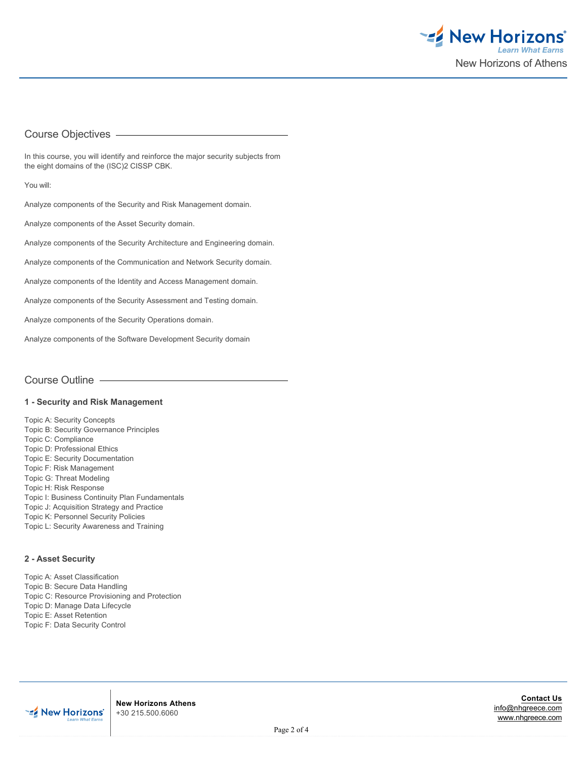

## Course Objectives

In this course, you will identify and reinforce the major security subjects from the eight domains of the (ISC)2 CISSP CBK.

You will:

Analyze components of the Security and Risk Management domain.

Analyze components of the Asset Security domain.

Analyze components of the Security Architecture and Engineering domain.

Analyze components of the Communication and Network Security domain.

Analyze components of the Identity and Access Management domain.

Analyze components of the Security Assessment and Testing domain.

Analyze components of the Security Operations domain.

Analyze components of the Software Development Security domain

Course Outline

#### **1 - Security and Risk Management**

Topic A: Security Concepts Topic B: Security Governance Principles Topic C: Compliance Topic D: Professional Ethics Topic E: Security Documentation Topic F: Risk Management Topic G: Threat Modeling Topic H: Risk Response Topic I: Business Continuity Plan Fundamentals Topic J: Acquisition Strategy and Practice Topic K: Personnel Security Policies Topic L: Security Awareness and Training

#### **2 - Asset Security**

Topic A: Asset Classification Topic B: Secure Data Handling Topic C: Resource Provisioning and Protection Topic D: Manage Data Lifecycle Topic E: Asset Retention Topic F: Data Security Control



**New Horizons Athens** +30 215.500.6060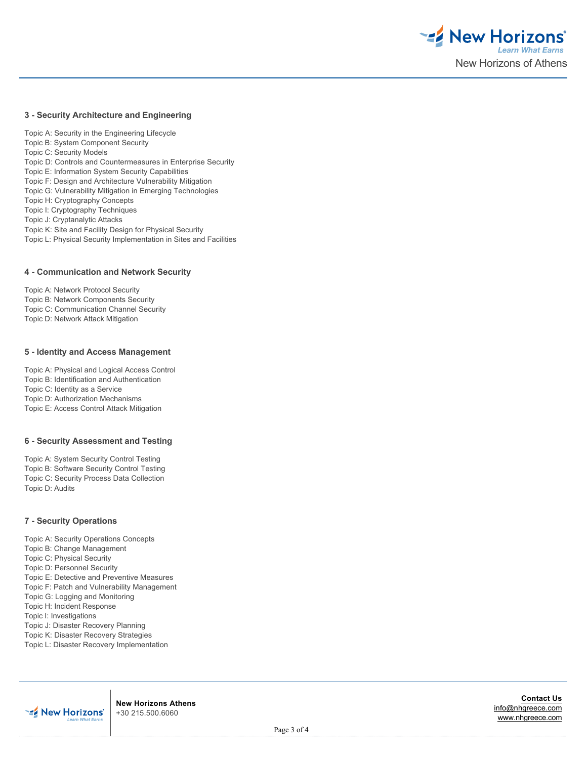

### **3 - Security Architecture and Engineering**

Topic A: Security in the Engineering Lifecycle Topic B: System Component Security Topic C: Security Models Topic D: Controls and Countermeasures in Enterprise Security Topic E: Information System Security Capabilities Topic F: Design and Architecture Vulnerability Mitigation Topic G: Vulnerability Mitigation in Emerging Technologies Topic H: Cryptography Concepts Topic I: Cryptography Techniques Topic J: Cryptanalytic Attacks Topic K: Site and Facility Design for Physical Security Topic L: Physical Security Implementation in Sites and Facilities

#### **4 - Communication and Network Security**

Topic A: Network Protocol Security Topic B: Network Components Security Topic C: Communication Channel Security Topic D: Network Attack Mitigation

## **5 - Identity and Access Management**

Topic A: Physical and Logical Access Control Topic B: Identification and Authentication Topic C: Identity as a Service Topic D: Authorization Mechanisms Topic E: Access Control Attack Mitigation

#### **6 - Security Assessment and Testing**

Topic A: System Security Control Testing Topic B: Software Security Control Testing Topic C: Security Process Data Collection Topic D: Audits

## **7 - Security Operations**

Topic A: Security Operations Concepts

Topic B: Change Management Topic C: Physical Security

Topic D: Personnel Security

Topic E: Detective and Preventive Measures

Topic F: Patch and Vulnerability Management

Topic G: Logging and Monitoring

Topic H: Incident Response

Topic I: Investigations

Topic J: Disaster Recovery Planning

Topic K: Disaster Recovery Strategies

Topic L: Disaster Recovery Implementation

**New Horizons Athens** +30 215.500.6060